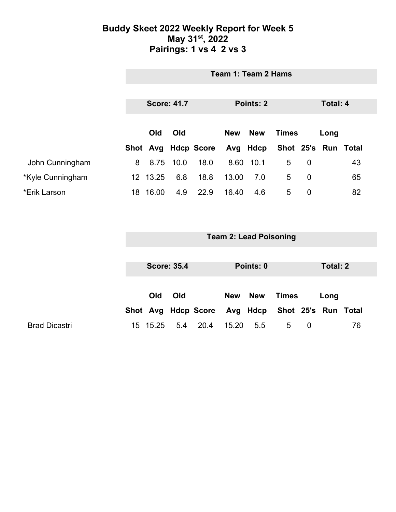### **Buddy Skeet 2022 Weekly Report for Week 5 May 31st, 2022 Pairings: 1 vs 4 2 vs 3**

|                  | Team 1: Team 2 Hams |                                             |      |                     |            |              |                     |                |  |    |
|------------------|---------------------|---------------------------------------------|------|---------------------|------------|--------------|---------------------|----------------|--|----|
|                  |                     | <b>Score: 41.7</b><br>Points: 2<br>Total: 4 |      |                     |            |              |                     |                |  |    |
|                  |                     |                                             |      |                     |            |              |                     |                |  |    |
|                  | Old<br>Old          |                                             |      | <b>New</b>          | <b>New</b> | <b>Times</b> |                     | Long           |  |    |
|                  |                     |                                             |      | Shot Avg Hdcp Score |            | Avg Hdcp     | Shot 25's Run Total |                |  |    |
| John Cunningham  | 8                   | 8.75                                        | 10.0 | 18.0                | 8.60       | 10.1         | 5                   | 0              |  | 43 |
| *Kyle Cunningham |                     | 12 13.25                                    | 6.8  | 18.8                | 13.00      | 7.0          | 5                   | 0              |  | 65 |
| *Erik Larson     | 18                  | 16.00                                       | 4.9  | 22.9                | 16.40      | 4.6          | 5                   | $\overline{0}$ |  | 82 |

|                      | <b>Team 2: Lead Poisoning</b>   |          |     |                     |            |            |                                       |   |      |          |
|----------------------|---------------------------------|----------|-----|---------------------|------------|------------|---------------------------------------|---|------|----------|
|                      | <b>Score: 35.4</b><br>Points: 0 |          |     |                     |            |            |                                       |   |      | Total: 2 |
|                      |                                 |          |     |                     |            |            |                                       |   |      |          |
|                      |                                 | Old      | Old | Shot Avg Hdcp Score | <b>New</b> | <b>New</b> | Times<br>Avg Hdcp Shot 25's Run Total |   | Long |          |
| <b>Brad Dicastri</b> |                                 | 15 15.25 | 5.4 | 20.4                | 15.20      | 5.5        | 5                                     | 0 |      | 76       |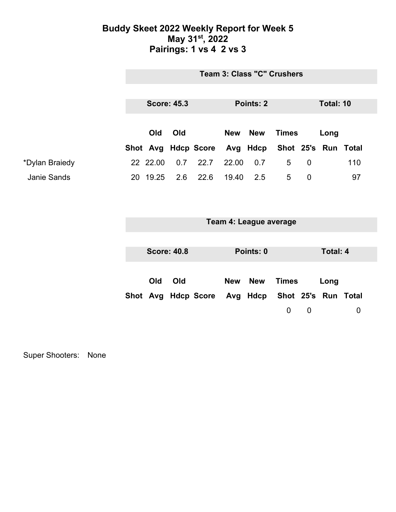### **Buddy Skeet 2022 Weekly Report for Week 5 May 31st, 2022 Pairings: 1 vs 4 2 vs 3**

|                    | <b>Team 3: Class "C" Crushers</b> |                    |     |                                                  |            |     |              |             |           |     |  |
|--------------------|-----------------------------------|--------------------|-----|--------------------------------------------------|------------|-----|--------------|-------------|-----------|-----|--|
|                    |                                   |                    |     |                                                  |            |     |              |             |           |     |  |
|                    |                                   | <b>Score: 45.3</b> |     |                                                  | Points: 2  |     |              |             | Total: 10 |     |  |
|                    |                                   |                    |     |                                                  |            |     |              |             |           |     |  |
|                    | Old<br>Old                        |                    |     |                                                  | <b>New</b> | New | <b>Times</b> |             | Long      |     |  |
|                    |                                   |                    |     | Shot Avg Hdcp Score Avg Hdcp Shot 25's Run Total |            |     |              |             |           |     |  |
| *Dylan Braiedy     |                                   | 22 22.00           | 0.7 | 22.7                                             | 22.00      | 0.7 | 5            | $\mathbf 0$ |           | 110 |  |
| <b>Janie Sands</b> |                                   | 20 19.25           |     | 2.6 22.6                                         | 19.40      | 2.5 | 5            | $\Omega$    |           | 97  |  |

|  |  | Team 4: League average |
|--|--|------------------------|
|--|--|------------------------|

| <b>Score: 40.8</b> |     |                                                  | Points: 0 |               |          |   | Total: 4 |  |  |
|--------------------|-----|--------------------------------------------------|-----------|---------------|----------|---|----------|--|--|
| Old                | Old |                                                  |           | New New Times |          |   | Long     |  |  |
|                    |     | Shot Avg Hdcp Score Avg Hdcp Shot 25's Run Total |           |               |          |   |          |  |  |
|                    |     |                                                  |           |               | $\Omega$ | U |          |  |  |

Super Shooters: None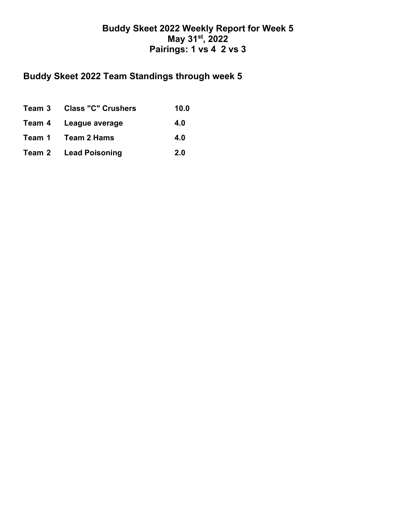## **Buddy Skeet 2022 Weekly Report for Week 5 May 31st, 2022 Pairings: 1 vs 4 2 vs 3**

# **Buddy Skeet 2022 Team Standings through week 5**

| Team 3 Class "C" Crushers    | 10.0 |
|------------------------------|------|
| Team 4 League average        | 4.0  |
| Team 1 Team 2 Hams           | 4.0  |
| <b>Team 2 Lead Poisoning</b> | 2.0  |